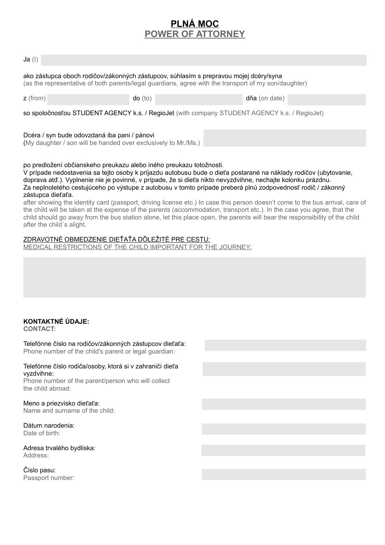# **PLNÁ MOC POWER OF ATTORNEY**

| ako zástupca oboch rodičov/zákonných zástupcov, súhlasím s prepravou mojej dcéry/syna<br>(as the representative of both parents/legal guardians, agree with the transport of my son/daughter) |                                                                                                                |
|-----------------------------------------------------------------------------------------------------------------------------------------------------------------------------------------------|----------------------------------------------------------------------------------------------------------------|
| $do$ (to)                                                                                                                                                                                     | dňa (on date)                                                                                                  |
| so spoločnosťou STUDENT AGENCY k.s. / RegioJet (with company STUDENT AGENCY k.s. / RegioJet)                                                                                                  |                                                                                                                |
|                                                                                                                                                                                               |                                                                                                                |
| po predložení občianskeho preukazu alebo iného preukazu totožnosti.                                                                                                                           |                                                                                                                |
|                                                                                                                                                                                               | Dcéra / syn bude odovzdaná iba pani / pánovi<br>(My daughter / son will be handed over exclusively to Mr./Ms.) |

V prípade nedostavenia sa tejto osoby k príjazdu autobusu bude o dieťa postarané na náklady rodičov (ubytovanie, doprava atď.). Vyplnenie nie je povinné, v prípade, že si dieťa nikto nevyzdvihne, nechajte kolonku prázdnu. Za neplnoletého cestujúceho po výstupe z autobusu v tomto prípade preberá plnú zodpovednosť rodič / zákonný zástupca dieťaťa.

| after showing the identity card (passport, driving license etc.) In case this person doesn't come to the bus arrival, care of |
|-------------------------------------------------------------------------------------------------------------------------------|
| the child will be taken at the expense of the parents (accommodation, transport etc.). In the case you agree, that the        |
| child should go away from the bus station alone, let this place open, the parents will bear the responsibility of the child   |
| after the child's alight.                                                                                                     |

### ZDRAVOTNÉ OBMEDZENIE DIEŤAŤA DÔLEŽITÉ PRE CESTU:

MEDICAL RESTRICTIONS OF THE CHILD IMPORTANT FOR THE JOURNEY:

## **KONTAKTNÉ ÚDAJE:**

**CONTACT:**

Telefónne číslo na rodičov/zákonných zástupcov dieťaťa: Phone number of the child's parent or legal guardian:

### Telefónne číslo rodiča/osoby, ktorá si v zahraničí dieťa vyzdvihne:

Phone number of the parent/person who will collect the child abroad:

### Meno a priezvisko dieťaťa:

Name and surname of the child:

#### Dátum narodenia: Date of birth:

Adresa trvalého bydliska: Address:

Číslo pasu: Passport number: